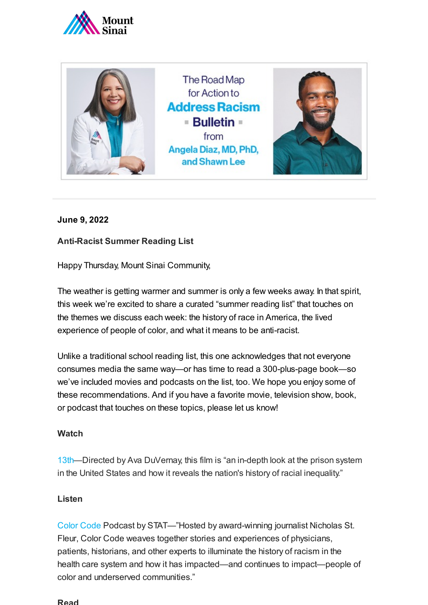



# **June 9, 2022**

# **Anti-Racist Summer Reading List**

Happy Thursday, Mount Sinai Community,

The weather is getting warmer and summer is only a few weeks away. In that spirit, this week we're excited to share a curated "summer reading list" that touches on the themes we discuss each week: the history of race in America, the lived experience of people of color, and what it means to be anti-racist.

Unlike a traditional school reading list, this one acknowledges that not everyone consumes media the same way—or has time to read a 300-plus-page book—so we've included movies and podcasts on the list, too. We hope you enjoy some of these recommendations. And if you have a favorite movie, television show, book, or podcast that touches on these topics, please let us know!

### **Watch**

[13th—](https://www.imdb.com/title/tt5895028/)Directed by Ava DuVernay, this film is "an in-depth look at the prison system in the United States and how it reveals the nation's history of racial inequality."

### **Listen**

Color [Code](https://open.spotify.com/show/17ajouLXihorTk1cwnmJ90) Podcast by STAT—"Hosted by award-winning journalist Nicholas St. Fleur, Color Code weaves together stories and experiences of physicians, patients, historians, and other experts to illuminate the history of racism in the health care system and how it has impacted—and continues to impact—people of color and underserved communities."

#### **Read**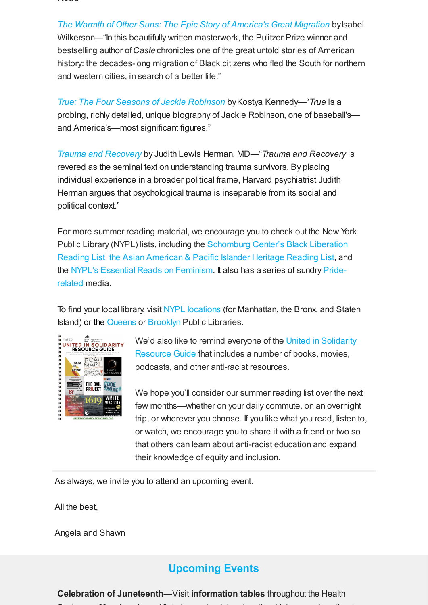**Read**

*The Warmth of Other Suns: The Epic Story of [America's Great](https://www.penguinrandomhouse.com/books/190696/the-warmth-of-other-suns-by-isabel-wilkerson/) Migration by Isabel* Wilkerson—"In this beautifully written masterwork, the Pulitzer Prize winner and bestselling author of*Caste*chronicles one of the great untold stories of American history: the decades-long migration of Black citizens who fled the South for northern and western cities, in search of a better life."

*True: The Four [Seasons of](https://us.macmillan.com/books/9781250274052/true) Jackie Robinson* byKostya Kennedy—"*True* is a probing, richly detailed, unique biography of Jackie Robinson, one of baseball's and America's—most significant figures."

*Trauma and [Recovery](https://www.basicbooks.com/titles/judith-lewis-herman-md/trauma-and-recovery/9780465061716/)* by Judith Lewis Herman, MD—"*Trauma and Recovery* is revered as the seminal text on understanding trauma survivors. By placing individual experience in a broader political frame, Harvard psychiatrist Judith Herman argues that psychological trauma is inseparable from its social and political context."

For more summer reading material, we encourage you to check out the New York Public Library (NYPL) lists, including the Schomburg [Center's Black Liberation](https://www.nypl.org/books-more/recommendations/schomburg/adults) Reading List, the Asian American & [Pacific Islander](https://www.nypl.org/books-more/recommendations/aapi-heritage/teens) Heritage Reading List, and the [N](https://www.nypl.org/spotlight/pride)[YPL's Essential](https://www.nypl.org/spotlight/essential-feminism) Reads on Feminism. It also has aseries of sundry Priderelated [m](https://urldefense.proofpoint.com/v2/url?u=https-3A__www.nypl.org_spotlight_pride&d=DwMF-g&c=shNJtf5dKgNcPZ6Yh64b-A&r=s9SiGkmL9lZuousV_uASWAl2USkiilApL_5dyNfbVbI&m=bsPqWo8y9bqo8G5Fb5FDxtSyAYSIMIHfaFIIDVNcKM0&s=dMKNrh5N50rbsr2gdrWtDK4CEle41BBkyipjhnYpICs&e=)edia.

To find your local library, visit NYPL [locations](https://www.nypl.org/locations) (for Manhattan, the Bronx, and Staten Island) or the [Queens](https://www.queenslibrary.org/about-us/locations) or [Brooklyn](https://www.bklynlibrary.org/locations?gclid=CjwKCAjw7vuUBhBUEiwAEdu2pMDeiAA6qriFy-oBnQDCCkublawk_6bCrnyF_IrDWAMwTrdh72j1DxoCA7UQAvD_BwE) Public Libraries.



We'd also like to remind everyone of the United in Solidarity Resource Guide that [includes a](https://www.mountsinai.org/files/MSHealth/Assets/Media/UnitedSolidarityResources.pdf) number of books, movies, podcasts, and other anti-racist resources.

We hope you'll consider our summer reading list over the next few months—whether on your daily commute, on an overnight trip, or wherever you choose. If you like what you read, listen to, or watch, we encourage you to share it with a friend or two so that others can learn about anti-racist education and expand their knowledge of equity and inclusion.

As always, we invite you to attend an upcoming event.

All the best,

Angela and Shawn

# **Upcoming Events**

**Celebration of Juneteenth**—Visit **information tables** throughout the Health S t **M d J 13** t l b t J t th hi h i th d